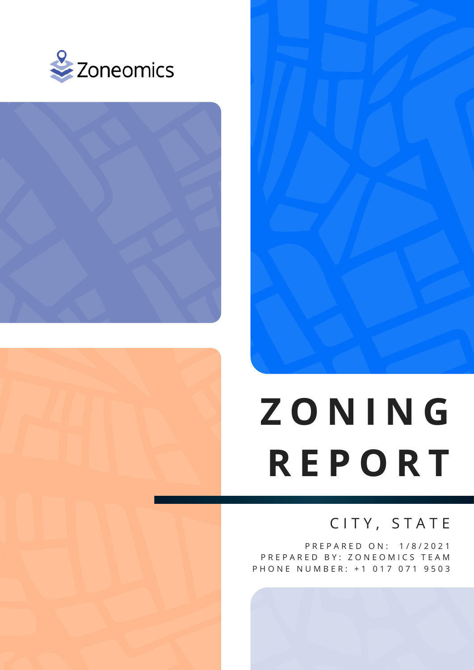







# **Z O N I N G R E P O R T**

## C I T Y, S T A T E

P R E P A R E D O N : 1 / 8 / 2 0 2 1 PREPARED BY: ZONEOMICS TEAM P H O N E N U M B E R: + 1 0 1 7 0 7 1 9 5 0 3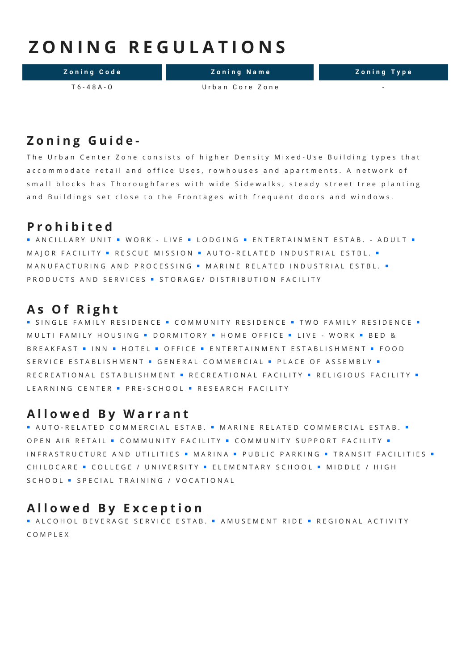## **Z O N I N G R E G U L A T I O N S**

**Zoning Code 2018 Zoning Name 2018 Zoning Type** 

T 6 - 48 A - O Urban Core Zone

#### **Z o n i n g G u i d e -**

The Urban Center Zone consists of higher Density Mixed-Use Building types that accommodate retail and office Uses, rowhouses and apartments. A network of small blocks has Thoroughfares with wide Sidewalks, steady street tree planting and Buildings set close to the Frontages with frequent doors and windows.

#### **P r o h i b i t e d**

■ AN CILLARY UNIT ■ WORK - LIVE ■ LODGING ■ ENTERTAINMENT ESTAB. - ADULT ■ M A J OR FA CILITY · RESCUE MISSION · AUTO-RELATED INDUSTRIAL ESTBL. · M A N U F A C T U R I N G A N D P R O C E S S I N G · M A R I N E R E L A T E D I N D U S T R I A L E S T B L . · PRODUCTS AND SERVICES . STORAGE/ DISTRIBUTION FACILITY

#### **A s O f R i g h t**

■ SINGLE FAMILY RESIDENCE ■ COMMUNITY RESIDENCE ■ TWO FAMILY RESIDENCE ■ M ULTI FAM ILY HOUSING . DORMITORY . HOME OFFICE . LIVE - WORK . BED & B R E A K F A ST = INN = HOTEL = OFFICE = ENTERTAINMENT ESTABLISHMENT = FOOD SERVICE ESTABLISHMENT · GENERAL COMMERCIAL · PLACE OF ASSEMBLY · R E C R E A T I O N A L E S T A B L I S H M E N T . R E C R E A T I O N A L F A C I L IT T A L I T T T Y . LEARNING CENTER · PRE-SCHOOL · RESEARCH FACILITY

#### **A l l o w e d B y W a r r a n t**

■ AUTO-RELATED COMMERCIAL ESTAB. ■ MARINE RELATED COMMERCIAL ESTAB. ■ OPEN AIR RETAIL · COMMUNITY FACILITY · COMMUNITY SUPPORT FACILITY · IN FRASTRUCTURE AND UTILITIES . MARINA - PUBLIC PARKING - TRANSIT FACILITIES -C H I L D C A R E = COLLEGE / UNIVERSITY = ELEMENTARY SCHOOL = MIDDLE / HIGH SCHOOL · SPECIAL TRAINING / VOCATIONAL

#### **A l l o w e d B y E x c e p t i o n**

■ ALCOHOL BEVERAGE SERVICE ESTAB. ■ AMUSEMENT RIDE ■ REGIONAL ACTIVITY C O M P L E X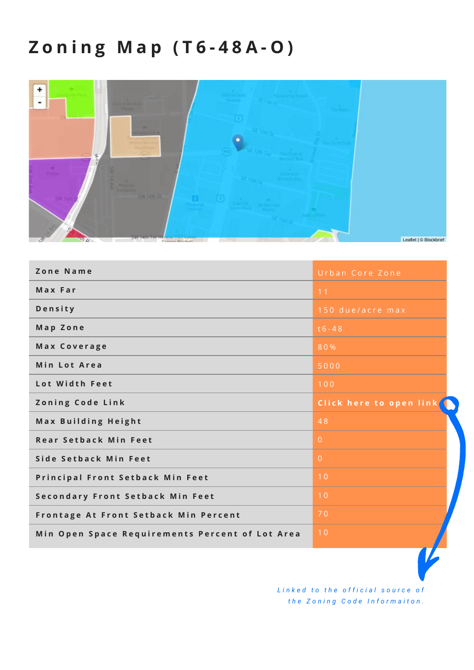## **Z o n i n g M a p ( T 6 - 4 8 A - O )**



| Zone Name                                       | Urban Core Zone         |
|-------------------------------------------------|-------------------------|
| Max Far                                         | 11                      |
| Density                                         | 150 due/acre max        |
| Map Zone                                        | $t6 - 48$               |
| Max Coverage                                    | 80%                     |
| Min Lot Area                                    | 5000                    |
| Lot Width Feet                                  | 100                     |
| Zoning Code Link                                | Click here to open link |
| Max Building Height                             | 48                      |
| <b>Rear Setback Min Feet</b>                    | $\overline{0}$          |
| Side Setback Min Feet                           | $\overline{0}$          |
| <b>Principal Front Setback Min Feet</b>         | 10                      |
| Secondary Front Setback Min Feet                | 10                      |
| Frontage At Front Setback Min Percent           | 70                      |
| Min Open Space Requirements Percent of Lot Area | 10                      |
|                                                 |                         |

Linked to the official source of *t h e Z o n i n g C o d e I n f o r m a i t o n .*